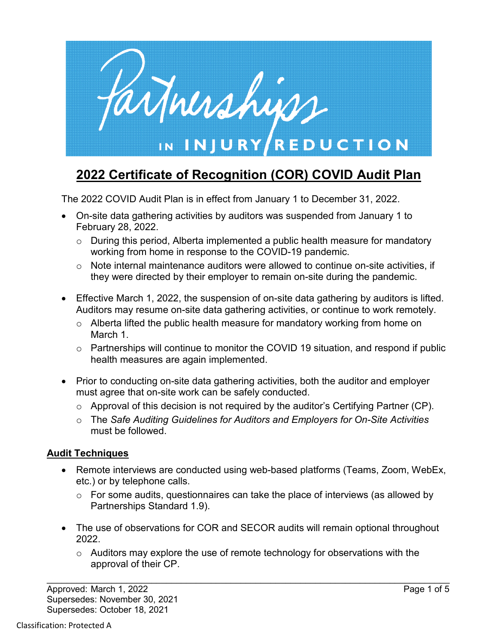

# **2022 Certificate of Recognition (COR) COVID Audit Plan**

The 2022 COVID Audit Plan is in effect from January 1 to December 31, 2022.

- On-site data gathering activities by auditors was suspended from January 1 to February 28, 2022.
	- o During this period, Alberta implemented a public health measure for mandatory working from home in response to the COVID-19 pandemic.
	- o Note internal maintenance auditors were allowed to continue on-site activities, if they were directed by their employer to remain on-site during the pandemic.
- Effective March 1, 2022, the suspension of on-site data gathering by auditors is lifted. Auditors may resume on-site data gathering activities, or continue to work remotely.
	- o Alberta lifted the public health measure for mandatory working from home on March 1.
	- o Partnerships will continue to monitor the COVID 19 situation, and respond if public health measures are again implemented.
- Prior to conducting on-site data gathering activities, both the auditor and employer must agree that on-site work can be safely conducted.
	- o Approval of this decision is not required by the auditor's Certifying Partner (CP).
	- o The *Safe Auditing Guidelines for Auditors and Employers for On-Site Activities* must be followed.

## **Audit Techniques**

- Remote interviews are conducted using web-based platforms (Teams, Zoom, WebEx, etc.) or by telephone calls.
	- $\circ$  For some audits, questionnaires can take the place of interviews (as allowed by Partnerships Standard 1.9).
- The use of observations for COR and SECOR audits will remain optional throughout 2022.
	- $\circ$  Auditors may explore the use of remote technology for observations with the approval of their CP.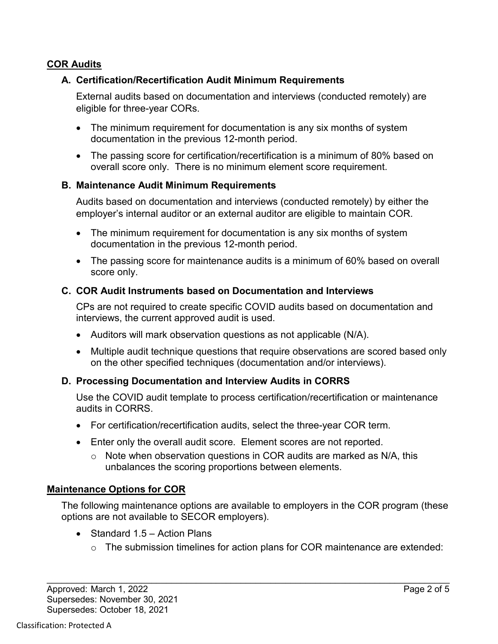## **COR Audits**

## **A. Certification/Recertification Audit Minimum Requirements**

External audits based on documentation and interviews (conducted remotely) are eligible for three-year CORs.

- The minimum requirement for documentation is any six months of system documentation in the previous 12-month period.
- The passing score for certification/recertification is a minimum of 80% based on overall score only. There is no minimum element score requirement.

#### **B. Maintenance Audit Minimum Requirements**

Audits based on documentation and interviews (conducted remotely) by either the employer's internal auditor or an external auditor are eligible to maintain COR.

- The minimum requirement for documentation is any six months of system documentation in the previous 12-month period.
- The passing score for maintenance audits is a minimum of 60% based on overall score only.

## **C. COR Audit Instruments based on Documentation and Interviews**

CPs are not required to create specific COVID audits based on documentation and interviews, the current approved audit is used.

- Auditors will mark observation questions as not applicable (N/A).
- Multiple audit technique questions that require observations are scored based only on the other specified techniques (documentation and/or interviews).

## **D. Processing Documentation and Interview Audits in CORRS**

Use the COVID audit template to process certification/recertification or maintenance audits in CORRS.

- For certification/recertification audits, select the three-year COR term.
- Enter only the overall audit score. Element scores are not reported.
	- $\circ$  Note when observation questions in COR audits are marked as N/A, this unbalances the scoring proportions between elements.

## **Maintenance Options for COR**

The following maintenance options are available to employers in the COR program (these options are not available to SECOR employers).

- Standard 1.5 Action Plans
	- o The submission timelines for action plans for COR maintenance are extended: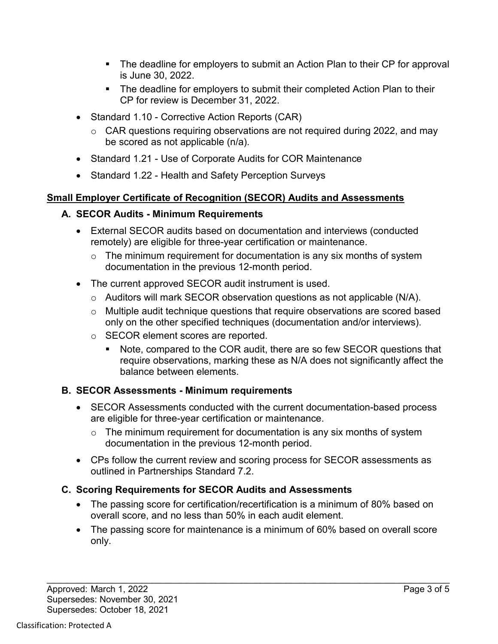- The deadline for employers to submit an Action Plan to their CP for approval is June 30, 2022.
- The deadline for employers to submit their completed Action Plan to their CP for review is December 31, 2022.
- Standard 1.10 Corrective Action Reports (CAR)
	- $\circ$  CAR questions requiring observations are not required during 2022, and may be scored as not applicable (n/a).
- Standard 1.21 Use of Corporate Audits for COR Maintenance
- Standard 1.22 Health and Safety Perception Surveys

# **Small Employer Certificate of Recognition (SECOR) Audits and Assessments**

## **A. SECOR Audits - Minimum Requirements**

- External SECOR audits based on documentation and interviews (conducted remotely) are eligible for three-year certification or maintenance.
	- $\circ$  The minimum requirement for documentation is any six months of system documentation in the previous 12-month period.
- The current approved SECOR audit instrument is used.
	- $\circ$  Auditors will mark SECOR observation questions as not applicable (N/A).
	- o Multiple audit technique questions that require observations are scored based only on the other specified techniques (documentation and/or interviews).
	- o SECOR element scores are reported.
		- Note, compared to the COR audit, there are so few SECOR questions that require observations, marking these as N/A does not significantly affect the balance between elements.

# **B. SECOR Assessments - Minimum requirements**

- SECOR Assessments conducted with the current documentation-based process are eligible for three-year certification or maintenance.
	- $\circ$  The minimum requirement for documentation is any six months of system documentation in the previous 12-month period.
- CPs follow the current review and scoring process for SECOR assessments as outlined in Partnerships Standard 7.2.

# **C. Scoring Requirements for SECOR Audits and Assessments**

- The passing score for certification/recertification is a minimum of 80% based on overall score, and no less than 50% in each audit element.
- The passing score for maintenance is a minimum of 60% based on overall score only.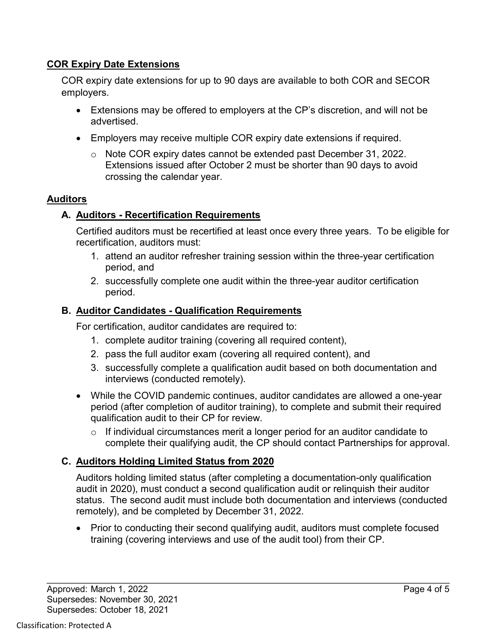## **COR Expiry Date Extensions**

COR expiry date extensions for up to 90 days are available to both COR and SECOR employers.

- Extensions may be offered to employers at the CP's discretion, and will not be advertised.
- Employers may receive multiple COR expiry date extensions if required.
	- o Note COR expiry dates cannot be extended past December 31, 2022. Extensions issued after October 2 must be shorter than 90 days to avoid crossing the calendar year.

## **Auditors**

## **A. Auditors - Recertification Requirements**

Certified auditors must be recertified at least once every three years. To be eligible for recertification, auditors must:

- 1. attend an auditor refresher training session within the three-year certification period, and
- 2. successfully complete one audit within the three-year auditor certification period.

## **B. Auditor Candidates - Qualification Requirements**

For certification, auditor candidates are required to:

- 1. complete auditor training (covering all required content),
- 2. pass the full auditor exam (covering all required content), and
- 3. successfully complete a qualification audit based on both documentation and interviews (conducted remotely).
- While the COVID pandemic continues, auditor candidates are allowed a one-year period (after completion of auditor training), to complete and submit their required qualification audit to their CP for review.
	- $\circ$  If individual circumstances merit a longer period for an auditor candidate to complete their qualifying audit, the CP should contact Partnerships for approval.

# **C. Auditors Holding Limited Status from 2020**

Auditors holding limited status (after completing a documentation-only qualification audit in 2020), must conduct a second qualification audit or relinquish their auditor status. The second audit must include both documentation and interviews (conducted remotely), and be completed by December 31, 2022.

• Prior to conducting their second qualifying audit, auditors must complete focused training (covering interviews and use of the audit tool) from their CP.